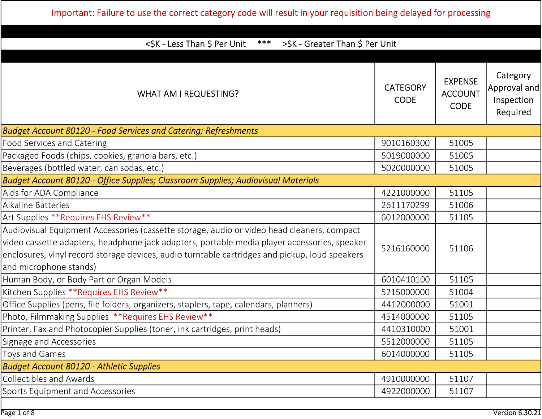| <\$K - Less Than \$ Per Unit<br>$***$<br>>\$K - Greater Than \$ Per Unit                                                                                                                                                                                                                                               |                                |                                                 |                                                    |
|------------------------------------------------------------------------------------------------------------------------------------------------------------------------------------------------------------------------------------------------------------------------------------------------------------------------|--------------------------------|-------------------------------------------------|----------------------------------------------------|
| WHAT AM I REQUESTING?                                                                                                                                                                                                                                                                                                  | <b>CATEGORY</b><br><b>CODE</b> | <b>EXPENSE</b><br><b>ACCOUNT</b><br><b>CODE</b> | Category<br>Approval and<br>Inspection<br>Required |
| <b>Budget Account 80120 - Food Services and Catering; Refreshments</b>                                                                                                                                                                                                                                                 |                                |                                                 |                                                    |
| <b>Food Services and Catering</b>                                                                                                                                                                                                                                                                                      | 9010160300                     | 51005                                           |                                                    |
| Packaged Foods (chips, cookies, granola bars, etc.)                                                                                                                                                                                                                                                                    | 5019000000                     | 51005                                           |                                                    |
| Beverages (bottled water, can sodas, etc.)                                                                                                                                                                                                                                                                             | 5020000000                     | 51005                                           |                                                    |
| Budget Account 80120 - Office Supplies; Classroom Supplies; Audiovisual Materials                                                                                                                                                                                                                                      |                                |                                                 |                                                    |
| Aids for ADA Compliance                                                                                                                                                                                                                                                                                                | 4221000000                     | 51105                                           |                                                    |
| Alkaline Batteries                                                                                                                                                                                                                                                                                                     | 2611170299                     | 51006                                           |                                                    |
| Art Supplies **Requires EHS Review**                                                                                                                                                                                                                                                                                   | 6012000000                     | 51105                                           |                                                    |
| Audiovisual Equipment Accessories (cassette storage, audio or video head cleaners, compact<br>video cassette adapters, headphone jack adapters, portable media player accessories, speaker<br>enclosures, vinyl record storage devices, audio turntable cartridges and pickup, loud speakers<br>and microphone stands) | 5216160000                     | 51106                                           |                                                    |
| Human Body, or Body Part or Organ Models                                                                                                                                                                                                                                                                               | 6010410100                     | 51105                                           |                                                    |
| Kitchen Supplies **Requires EHS Review**                                                                                                                                                                                                                                                                               | 5215000000                     | 51004                                           |                                                    |
| Office Supplies (pens, file folders, organizers, staplers, tape, calendars, planners)                                                                                                                                                                                                                                  | 4412000000                     | 51001                                           |                                                    |
| Photo, Filmmaking Supplies **Requires EHS Review**                                                                                                                                                                                                                                                                     | 4514000000                     | 51105                                           |                                                    |
| Printer, Fax and Photocopier Supplies (toner, ink cartridges, print heads)                                                                                                                                                                                                                                             | 4410310000                     | 51001                                           |                                                    |
| Signage and Accessories                                                                                                                                                                                                                                                                                                | 5512000000                     | 51105                                           |                                                    |
| Toys and Games                                                                                                                                                                                                                                                                                                         | 6014000000                     | 51105                                           |                                                    |
| <b>Budget Account 80120 - Athletic Supplies</b>                                                                                                                                                                                                                                                                        |                                |                                                 |                                                    |
| <b>Collectibles and Awards</b>                                                                                                                                                                                                                                                                                         | 4910000000                     | 51107                                           |                                                    |
| <b>Sports Equipment and Accessories</b>                                                                                                                                                                                                                                                                                | 4922000000                     | 51107                                           |                                                    |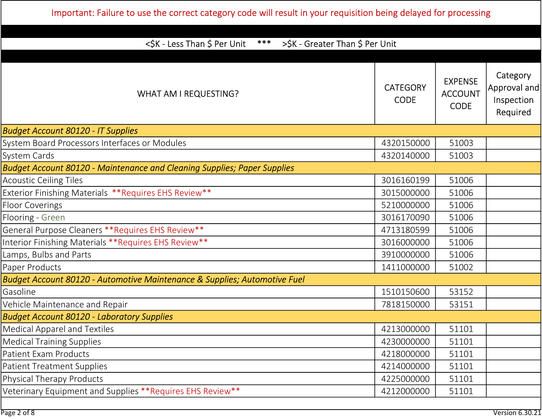| <\$K - Less Than \$ Per Unit<br>$***$<br>>\$K - Greater Than \$ Per Unit        |                                |                                                 |                                                    |
|---------------------------------------------------------------------------------|--------------------------------|-------------------------------------------------|----------------------------------------------------|
| <b>WHAT AM I REQUESTING?</b>                                                    | <b>CATEGORY</b><br><b>CODE</b> | <b>EXPENSE</b><br><b>ACCOUNT</b><br><b>CODE</b> | Category<br>Approval and<br>Inspection<br>Required |
| <b>Budget Account 80120 - IT Supplies</b>                                       |                                |                                                 |                                                    |
| System Board Processors Interfaces or Modules                                   | 4320150000                     | 51003                                           |                                                    |
| System Cards                                                                    | 4320140000                     | 51003                                           |                                                    |
| <b>Budget Account 80120 - Maintenance and Cleaning Supplies; Paper Supplies</b> |                                |                                                 |                                                    |
| <b>Acoustic Ceiling Tiles</b>                                                   | 3016160199                     | 51006                                           |                                                    |
| Exterior Finishing Materials ** Requires EHS Review**                           | 3015000000                     | 51006                                           |                                                    |
| <b>Floor Coverings</b>                                                          | 5210000000                     | 51006                                           |                                                    |
| Flooring - Green                                                                | 3016170090                     | 51006                                           |                                                    |
| General Purpose Cleaners ** Requires EHS Review **                              | 4713180599                     | 51006                                           |                                                    |
| Interior Finishing Materials ** Requires EHS Review**                           | 3016000000                     | 51006                                           |                                                    |
| Lamps, Bulbs and Parts                                                          | 3910000000                     | 51006                                           |                                                    |
| Paper Products                                                                  | 1411000000                     | 51002                                           |                                                    |
| Budget Account 80120 - Automotive Maintenance & Supplies; Automotive Fuel       |                                |                                                 |                                                    |
| Gasoline                                                                        | 1510150600                     | 53152                                           |                                                    |
| Vehicle Maintenance and Repair                                                  | 7818150000                     | 53151                                           |                                                    |
| <b>Budget Account 80120 - Laboratory Supplies</b>                               |                                |                                                 |                                                    |
| Medical Apparel and Textiles                                                    | 4213000000                     | 51101                                           |                                                    |
| <b>Medical Training Supplies</b>                                                | 4230000000                     | 51101                                           |                                                    |
| Patient Exam Products                                                           | 4218000000                     | 51101                                           |                                                    |
| <b>Patient Treatment Supplies</b>                                               | 4214000000                     | 51101                                           |                                                    |
| Physical Therapy Products                                                       | 4225000000                     | 51101                                           |                                                    |
| Veterinary Equipment and Supplies ** Requires EHS Review**                      | 4212000000                     | 51101                                           |                                                    |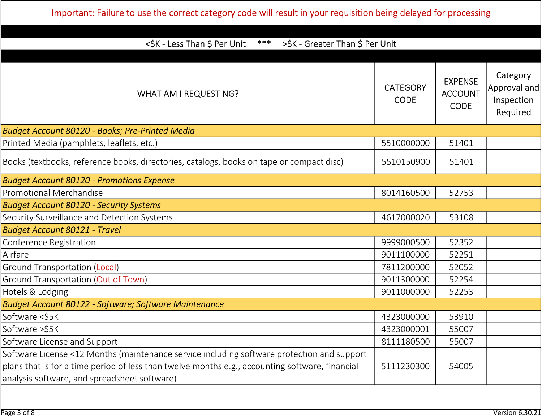| <\$K - Less Than \$ Per Unit<br>$***$<br>>\$K - Greater Than \$ Per Unit                                                                                                                                                                      |                                |                                                 |                                                    |
|-----------------------------------------------------------------------------------------------------------------------------------------------------------------------------------------------------------------------------------------------|--------------------------------|-------------------------------------------------|----------------------------------------------------|
|                                                                                                                                                                                                                                               |                                |                                                 |                                                    |
| <b>WHAT AM I REQUESTING?</b>                                                                                                                                                                                                                  | <b>CATEGORY</b><br><b>CODE</b> | <b>EXPENSE</b><br><b>ACCOUNT</b><br><b>CODE</b> | Category<br>Approval and<br>Inspection<br>Required |
| Budget Account 80120 - Books; Pre-Printed Media                                                                                                                                                                                               |                                |                                                 |                                                    |
| Printed Media (pamphlets, leaflets, etc.)                                                                                                                                                                                                     | 5510000000                     | 51401                                           |                                                    |
| Books (textbooks, reference books, directories, catalogs, books on tape or compact disc)                                                                                                                                                      | 5510150900                     | 51401                                           |                                                    |
| <b>Budget Account 80120 - Promotions Expense</b>                                                                                                                                                                                              |                                |                                                 |                                                    |
| <b>Promotional Merchandise</b>                                                                                                                                                                                                                | 8014160500                     | 52753                                           |                                                    |
| <b>Budget Account 80120 - Security Systems</b>                                                                                                                                                                                                |                                |                                                 |                                                    |
| Security Surveillance and Detection Systems                                                                                                                                                                                                   | 4617000020                     | 53108                                           |                                                    |
| <b>Budget Account 80121 - Travel</b>                                                                                                                                                                                                          |                                |                                                 |                                                    |
| Conference Registration                                                                                                                                                                                                                       | 9999000500                     | 52352                                           |                                                    |
| Airfare                                                                                                                                                                                                                                       | 9011100000                     | 52251                                           |                                                    |
| Ground Transportation (Local)                                                                                                                                                                                                                 | 7811200000                     | 52052                                           |                                                    |
| Ground Transportation (Out of Town)                                                                                                                                                                                                           | 9011300000                     | 52254                                           |                                                    |
| Hotels & Lodging                                                                                                                                                                                                                              | 9011000000                     | 52253                                           |                                                    |
| <b>Budget Account 80122 - Software; Software Maintenance</b>                                                                                                                                                                                  |                                |                                                 |                                                    |
| Software <\$5K                                                                                                                                                                                                                                | 4323000000                     | 53910                                           |                                                    |
| Software >\$5K                                                                                                                                                                                                                                | 4323000001                     | 55007                                           |                                                    |
| Software License and Support                                                                                                                                                                                                                  | 8111180500                     | 55007                                           |                                                    |
| Software License <12 Months (maintenance service including software protection and support<br>plans that is for a time period of less than twelve months e.g., accounting software, financial<br>analysis software, and spreadsheet software) | 5111230300                     | 54005                                           |                                                    |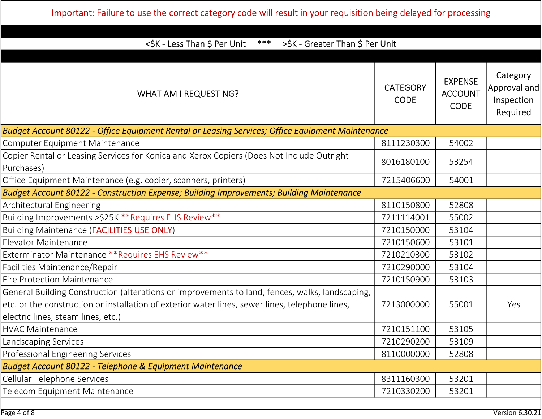| <\$K - Less Than \$ Per Unit<br>$***$<br>>\$K - Greater Than \$ Per Unit                                                                                                                                                                 |                                |                                                 |                                                    |
|------------------------------------------------------------------------------------------------------------------------------------------------------------------------------------------------------------------------------------------|--------------------------------|-------------------------------------------------|----------------------------------------------------|
| <b>WHAT AM I REQUESTING?</b>                                                                                                                                                                                                             | <b>CATEGORY</b><br><b>CODE</b> | <b>EXPENSE</b><br><b>ACCOUNT</b><br><b>CODE</b> | Category<br>Approval and<br>Inspection<br>Required |
| Budget Account 80122 - Office Equipment Rental or Leasing Services; Office Equipment Maintenance                                                                                                                                         |                                |                                                 |                                                    |
| Computer Equipment Maintenance                                                                                                                                                                                                           | 8111230300                     | 54002                                           |                                                    |
| Copier Rental or Leasing Services for Konica and Xerox Copiers (Does Not Include Outright<br>Purchases)                                                                                                                                  | 8016180100                     | 53254                                           |                                                    |
| Office Equipment Maintenance (e.g. copier, scanners, printers)                                                                                                                                                                           | 7215406600                     | 54001                                           |                                                    |
| Budget Account 80122 - Construction Expense; Building Improvements; Building Maintenance                                                                                                                                                 |                                |                                                 |                                                    |
| <b>Architectural Engineering</b>                                                                                                                                                                                                         | 8110150800                     | 52808                                           |                                                    |
| Building Improvements > \$25K ** Requires EHS Review **                                                                                                                                                                                  | 7211114001                     | 55002                                           |                                                    |
| <b>Building Maintenance (FACILITIES USE ONLY)</b>                                                                                                                                                                                        | 7210150000                     | 53104                                           |                                                    |
| Elevator Maintenance                                                                                                                                                                                                                     | 7210150600                     | 53101                                           |                                                    |
| Exterminator Maintenance ** Requires EHS Review**                                                                                                                                                                                        | 7210210300                     | 53102                                           |                                                    |
| Facilities Maintenance/Repair                                                                                                                                                                                                            | 7210290000                     | 53104                                           |                                                    |
| <b>Fire Protection Maintenance</b>                                                                                                                                                                                                       | 7210150900                     | 53103                                           |                                                    |
| General Building Construction (alterations or improvements to land, fences, walks, landscaping,<br>etc. or the construction or installation of exterior water lines, sewer lines, telephone lines,<br>electric lines, steam lines, etc.) | 7213000000                     | 55001                                           | Yes                                                |
| <b>HVAC Maintenance</b>                                                                                                                                                                                                                  | 7210151100                     | 53105                                           |                                                    |
| Landscaping Services                                                                                                                                                                                                                     | 7210290200                     | 53109                                           |                                                    |
| Professional Engineering Services                                                                                                                                                                                                        | 8110000000                     | 52808                                           |                                                    |
| Budget Account 80122 - Telephone & Equipment Maintenance                                                                                                                                                                                 |                                |                                                 |                                                    |
| Cellular Telephone Services                                                                                                                                                                                                              | 8311160300                     | 53201                                           |                                                    |
| Telecom Equipment Maintenance                                                                                                                                                                                                            | 7210330200                     | 53201                                           |                                                    |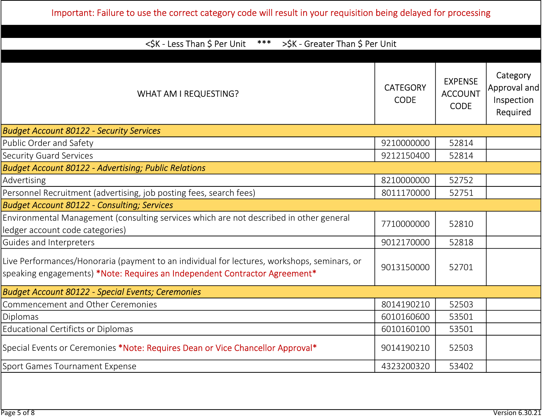Important: Failure to use the correct category code will result in your requisition being delayed for processing

| Category<br><b>EXPENSE</b><br><b>CATEGORY</b><br><b>ACCOUNT</b><br><b>WHAT AM I REQUESTING?</b><br>Inspection<br><b>CODE</b><br><b>CODE</b><br>Required<br>9210000000<br>52814<br>9212150400<br>52814<br>8210000000<br>52752<br>8011170000<br>52751<br>7710000000<br>52810<br>9012170000<br>52818<br>9013150000<br>52701<br>8014190210<br>52503<br>6010160600<br>53501<br>6010160100<br>53501<br>9014190210<br>52503<br>4323200320<br>53402 | <\$K - Less Than \$ Per Unit<br>$***$<br>>\$K - Greater Than \$ Per Unit                                                                                                  |  |  |              |
|---------------------------------------------------------------------------------------------------------------------------------------------------------------------------------------------------------------------------------------------------------------------------------------------------------------------------------------------------------------------------------------------------------------------------------------------|---------------------------------------------------------------------------------------------------------------------------------------------------------------------------|--|--|--------------|
|                                                                                                                                                                                                                                                                                                                                                                                                                                             |                                                                                                                                                                           |  |  |              |
|                                                                                                                                                                                                                                                                                                                                                                                                                                             |                                                                                                                                                                           |  |  | Approval and |
|                                                                                                                                                                                                                                                                                                                                                                                                                                             | <b>Budget Account 80122 - Security Services</b>                                                                                                                           |  |  |              |
|                                                                                                                                                                                                                                                                                                                                                                                                                                             | Public Order and Safety                                                                                                                                                   |  |  |              |
|                                                                                                                                                                                                                                                                                                                                                                                                                                             | <b>Security Guard Services</b>                                                                                                                                            |  |  |              |
|                                                                                                                                                                                                                                                                                                                                                                                                                                             | <b>Budget Account 80122 - Advertising; Public Relations</b>                                                                                                               |  |  |              |
|                                                                                                                                                                                                                                                                                                                                                                                                                                             | Advertising                                                                                                                                                               |  |  |              |
|                                                                                                                                                                                                                                                                                                                                                                                                                                             | Personnel Recruitment (advertising, job posting fees, search fees)                                                                                                        |  |  |              |
|                                                                                                                                                                                                                                                                                                                                                                                                                                             | <b>Budget Account 80122 - Consulting; Services</b>                                                                                                                        |  |  |              |
|                                                                                                                                                                                                                                                                                                                                                                                                                                             | Environmental Management (consulting services which are not described in other general<br>ledger account code categories)                                                 |  |  |              |
|                                                                                                                                                                                                                                                                                                                                                                                                                                             | Guides and Interpreters                                                                                                                                                   |  |  |              |
|                                                                                                                                                                                                                                                                                                                                                                                                                                             | Live Performances/Honoraria (payment to an individual for lectures, workshops, seminars, or<br>speaking engagements) *Note: Requires an Independent Contractor Agreement* |  |  |              |
|                                                                                                                                                                                                                                                                                                                                                                                                                                             | <b>Budget Account 80122 - Special Events; Ceremonies</b>                                                                                                                  |  |  |              |
|                                                                                                                                                                                                                                                                                                                                                                                                                                             | Commencement and Other Ceremonies                                                                                                                                         |  |  |              |
|                                                                                                                                                                                                                                                                                                                                                                                                                                             | <b>Diplomas</b>                                                                                                                                                           |  |  |              |
|                                                                                                                                                                                                                                                                                                                                                                                                                                             | <b>Educational Certificts or Diplomas</b>                                                                                                                                 |  |  |              |
|                                                                                                                                                                                                                                                                                                                                                                                                                                             | Special Events or Ceremonies *Note: Requires Dean or Vice Chancellor Approval*                                                                                            |  |  |              |
|                                                                                                                                                                                                                                                                                                                                                                                                                                             | Sport Games Tournament Expense                                                                                                                                            |  |  |              |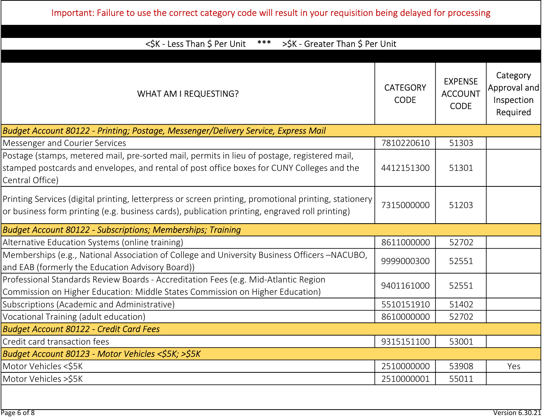| $***$                                                                                                                                                                                                         |                                |                                                 |                                                    |
|---------------------------------------------------------------------------------------------------------------------------------------------------------------------------------------------------------------|--------------------------------|-------------------------------------------------|----------------------------------------------------|
| <\$K - Less Than \$ Per Unit<br>>\$K - Greater Than \$ Per Unit                                                                                                                                               |                                |                                                 |                                                    |
| WHAT AM I REQUESTING?                                                                                                                                                                                         | <b>CATEGORY</b><br><b>CODE</b> | <b>EXPENSE</b><br><b>ACCOUNT</b><br><b>CODE</b> | Category<br>Approval and<br>Inspection<br>Required |
| Budget Account 80122 - Printing; Postage, Messenger/Delivery Service, Express Mail                                                                                                                            |                                |                                                 |                                                    |
| Messenger and Courier Services                                                                                                                                                                                | 7810220610                     | 51303                                           |                                                    |
| Postage (stamps, metered mail, pre-sorted mail, permits in lieu of postage, registered mail,<br>stamped postcards and envelopes, and rental of post office boxes for CUNY Colleges and the<br>Central Office) | 4412151300                     | 51301                                           |                                                    |
| Printing Services (digital printing, letterpress or screen printing, promotional printing, stationery<br>or business form printing (e.g. business cards), publication printing, engraved roll printing)       | 7315000000                     | 51203                                           |                                                    |
| <b>Budget Account 80122 - Subscriptions; Memberships; Training</b>                                                                                                                                            |                                |                                                 |                                                    |
| Alternative Education Systems (online training)                                                                                                                                                               | 8611000000                     | 52702                                           |                                                    |
| Memberships (e.g., National Association of College and University Business Officers -NACUBO,<br>and EAB (formerly the Education Advisory Board))                                                              | 9999000300                     | 52551                                           |                                                    |
| Professional Standards Review Boards - Accreditation Fees (e.g. Mid-Atlantic Region<br>Commission on Higher Education: Middle States Commission on Higher Education)                                          | 9401161000                     | 52551                                           |                                                    |
| Subscriptions (Academic and Administrative)                                                                                                                                                                   | 5510151910                     | 51402                                           |                                                    |
| Vocational Training (adult education)                                                                                                                                                                         | 8610000000                     | 52702                                           |                                                    |
| <b>Budget Account 80122 - Credit Card Fees</b>                                                                                                                                                                |                                |                                                 |                                                    |
| Credit card transaction fees                                                                                                                                                                                  | 9315151100                     | 53001                                           |                                                    |
| Budget Account 80123 - Motor Vehicles <\$5K; >\$5K                                                                                                                                                            |                                |                                                 |                                                    |
| Motor Vehicles <\$5K                                                                                                                                                                                          | 2510000000                     | 53908                                           | Yes                                                |
| Motor Vehicles >\$5K                                                                                                                                                                                          | 2510000001                     | 55011                                           |                                                    |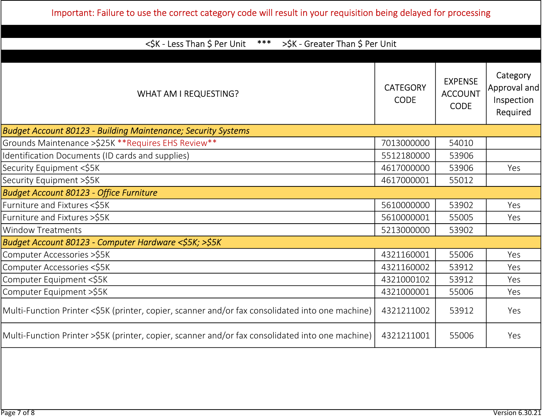| ***<br><\$K - Less Than \$ Per Unit<br>>\$K - Greater Than \$ Per Unit                           |                                |                                                 |                                                      |
|--------------------------------------------------------------------------------------------------|--------------------------------|-------------------------------------------------|------------------------------------------------------|
| <b>WHAT AM I REQUESTING?</b>                                                                     | <b>CATEGORY</b><br><b>CODE</b> | <b>EXPENSE</b><br><b>ACCOUNT</b><br><b>CODE</b> | Category<br> Approval and <br>Inspection<br>Required |
| <b>Budget Account 80123 - Building Maintenance; Security Systems</b>                             |                                |                                                 |                                                      |
| Grounds Maintenance > \$25K ** Requires EHS Review **                                            | 7013000000                     | 54010                                           |                                                      |
| Identification Documents (ID cards and supplies)                                                 | 5512180000                     | 53906                                           |                                                      |
| Security Equipment <\$5K                                                                         | 4617000000                     | 53906                                           | Yes                                                  |
| Security Equipment >\$5K                                                                         | 4617000001                     | 55012                                           |                                                      |
| <b>Budget Account 80123 - Office Furniture</b>                                                   |                                |                                                 |                                                      |
| Furniture and Fixtures <\$5K                                                                     | 5610000000                     | 53902                                           | Yes                                                  |
| Furniture and Fixtures > \$5K                                                                    | 5610000001                     | 55005                                           | Yes                                                  |
| <b>Window Treatments</b>                                                                         | 5213000000                     | 53902                                           |                                                      |
| Budget Account 80123 - Computer Hardware <\$5K; >\$5K                                            |                                |                                                 |                                                      |
| Computer Accessories >\$5K                                                                       | 4321160001                     | 55006                                           | Yes                                                  |
| Computer Accessories <\$5K                                                                       | 4321160002                     | 53912                                           | Yes                                                  |
| Computer Equipment <\$5K                                                                         | 4321000102                     | 53912                                           | Yes                                                  |
| Computer Equipment >\$5K                                                                         | 4321000001                     | 55006                                           | Yes                                                  |
| Multi-Function Printer <\$5K (printer, copier, scanner and/or fax consolidated into one machine) | 4321211002                     | 53912                                           | Yes                                                  |
| Multi-Function Printer >\$5K (printer, copier, scanner and/or fax consolidated into one machine) | 4321211001                     | 55006                                           | Yes                                                  |